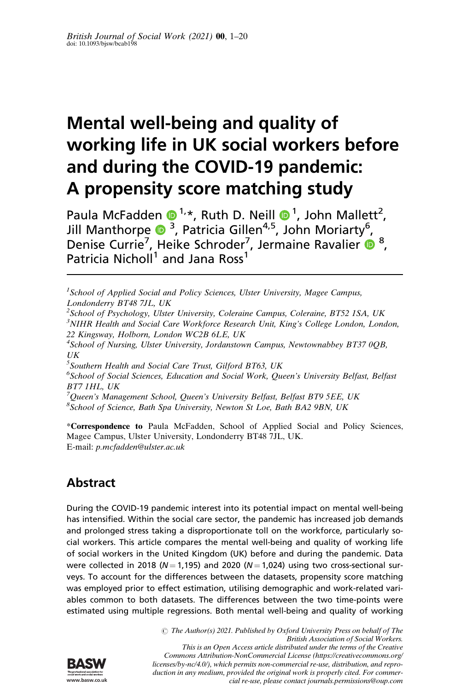# Mental well-being and quality of working life in UK social workers before and during the COVID-19 pandemic: A propensity score matching study

Paula McFadden  $\bullet^{1,*}$ , Ruth D. Neill  $\bullet^{1}$ , John Mallett<sup>2</sup>, Jill Manthorpe  $\bullet$  <sup>3</sup>, Patricia Gillen<sup>4,5</sup>, John Moriarty<sup>6</sup>, Denise Currie<sup>7</sup>, Heike Schroder<sup>7</sup>, Jermaine Ravalier <sup>®</sup>, Patricia Nicholl<sup>1</sup> and Jana Ross<sup>1</sup>

<sup>1</sup>School of Applied Social and Policy Sciences, Ulster University, Magee Campus, Londonderry BT48 7JL, UK

<sup>2</sup>School of Psychology, Ulster University, Coleraine Campus, Coleraine, BT52 1SA, UK <sup>3</sup>NIHR Health and Social Care Workforce Research Unit, King's College London, London, 22 Kingsway, Holborn, London WC2B 6LE, UK

<sup>4</sup>School of Nursing, Ulster University, Jordanstown Campus, Newtownabbey BT37 0QB, UK

5 Southern Health and Social Care Trust, Gilford BT63, UK

<sup>6</sup>School of Social Sciences, Education and Social Work, Queen's University Belfast, Belfast BT7 1HL, UK

<sup>7</sup>Queen's Management School, Queen's University Belfast, Belfast BT9 5EE, UK 8 School of Science, Bath Spa University, Newton St Loe, Bath BA2 9BN, UK

\*Correspondence to Paula McFadden, School of Applied Social and Policy Sciences, Magee Campus, Ulster University, Londonderry BT48 7JL, UK. E-mail: p.mcfadden@ulster.ac.uk

# Abstract

During the COVID-19 pandemic interest into its potential impact on mental well-being has intensified. Within the social care sector, the pandemic has increased job demands and prolonged stress taking a disproportionate toll on the workforce, particularly social workers. This article compares the mental well-being and quality of working life of social workers in the United Kingdom (UK) before and during the pandemic. Data were collected in 2018 ( $N = 1,195$ ) and 2020 ( $N = 1,024$ ) using two cross-sectional surveys. To account for the differences between the datasets, propensity score matching was employed prior to effect estimation, utilising demographic and work-related variables common to both datasets. The differences between the two time-points were estimated using multiple regressions. Both mental well-being and quality of working



 $\odot$  The Author(s) 2021. Published by Oxford University Press on behalf of The British Association of Social Workers. This is an Open Access article distributed under the terms of the Creative Commons Attribution-NonCommercial License (https://creativecommons.org/ licenses/by-nc/4.0/), which permits non-commercial re-use, distribution, and reproduction in any medium, provided the original work is properly cited. For commer-

cial re-use, please contact journals.permissions@oup.com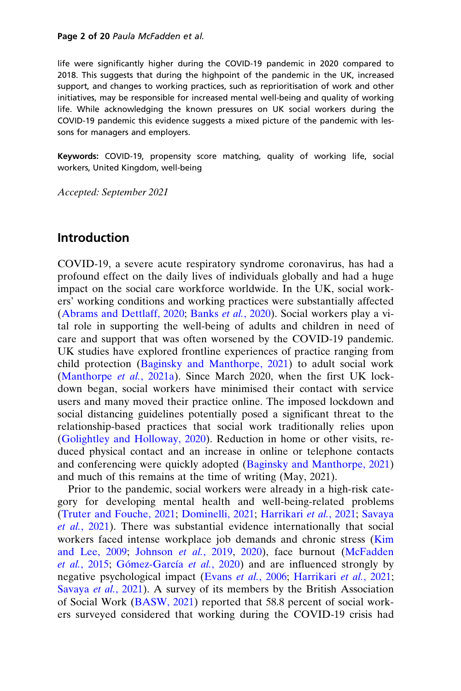#### Page 2 of 20 Paula McFadden et al.

life were significantly higher during the COVID-19 pandemic in 2020 compared to 2018. This suggests that during the highpoint of the pandemic in the UK, increased support, and changes to working practices, such as reprioritisation of work and other initiatives, may be responsible for increased mental well-being and quality of working life. While acknowledging the known pressures on UK social workers during the COVID-19 pandemic this evidence suggests a mixed picture of the pandemic with lessons for managers and employers.

Keywords: COVID-19, propensity score matching, quality of working life, social workers, United Kingdom, well-being

Accepted: September 2021

#### Introduction

COVID-19, a severe acute respiratory syndrome coronavirus, has had a profound effect on the daily lives of individuals globally and had a huge impact on the social care workforce worldwide. In the UK, social workers' working conditions and working practices were substantially affected [\(Abrams and Dettlaff, 2020;](#page-15-0) [Banks](#page-15-0) et al., 2020). Social workers play a vital role in supporting the well-being of adults and children in need of care and support that was often worsened by the COVID-19 pandemic. UK studies have explored frontline experiences of practice ranging from child protection ([Baginsky and Manthorpe, 2021](#page-15-0)) to adult social work [\(Manthorpe](#page-17-0) et al., 2021a). Since March 2020, when the first UK lockdown began, social workers have minimised their contact with service users and many moved their practice online. The imposed lockdown and social distancing guidelines potentially posed a significant threat to the relationship-based practices that social work traditionally relies upon [\(Golightley and Holloway, 2020\)](#page-17-0). Reduction in home or other visits, reduced physical contact and an increase in online or telephone contacts and conferencing were quickly adopted ([Baginsky and Manthorpe, 2021](#page-15-0)) and much of this remains at the time of writing (May, 2021).

Prior to the pandemic, social workers were already in a high-risk category for developing mental health and well-being-related problems [\(Truter and Fouche, 2021](#page-19-0); [Dominelli, 2021](#page-16-0); [Harrikari](#page-17-0) et al., 2021; [Savaya](#page-19-0) et al.[, 2021](#page-19-0)). There was substantial evidence internationally that social workers faced intense workplace job demands and chronic stress [\(Kim](#page-17-0) [and Lee, 2009;](#page-17-0) [Johnson](#page-17-0) et al., 2019, [2020](#page-17-0)), face burnout [\(McFadden](#page-18-0) et al.[, 2015;](#page-18-0) Gómez-García et al., 2020) and are influenced strongly by negative psychological impact [\(Evans](#page-16-0) et al., 2006; [Harrikari](#page-17-0) et al., 2021; [Savaya](#page-19-0) et al., 2021). A survey of its members by the British Association of Social Work [\(BASW, 2021](#page-16-0)) reported that 58.8 percent of social workers surveyed considered that working during the COVID-19 crisis had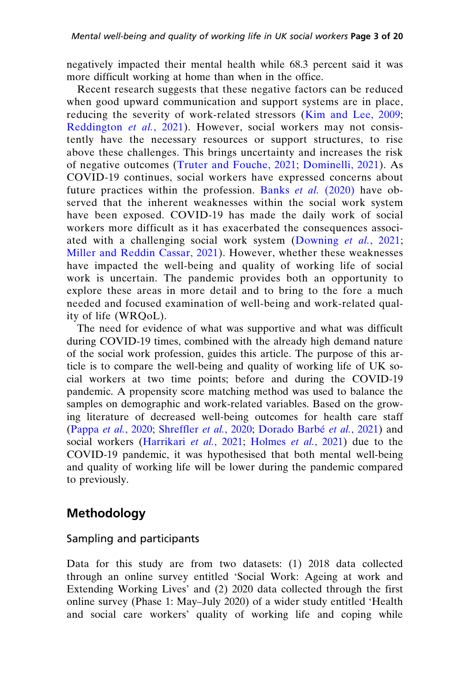negatively impacted their mental health while 68.3 percent said it was more difficult working at home than when in the office.

Recent research suggests that these negative factors can be reduced when good upward communication and support systems are in place, reducing the severity of work-related stressors ([Kim and Lee, 2009](#page-17-0); [Reddington](#page-18-0) et al., 2021). However, social workers may not consistently have the necessary resources or support structures, to rise above these challenges. This brings uncertainty and increases the risk of negative outcomes ([Truter and Fouche, 2021](#page-19-0); [Dominelli, 2021](#page-16-0)). As COVID-19 continues, social workers have expressed concerns about future practices within the profession. Banks *et al.* [\(2020\)](#page-15-0) have observed that the inherent weaknesses within the social work system have been exposed. COVID-19 has made the daily work of social workers more difficult as it has exacerbated the consequences associated with a challenging social work system ([Downing](#page-16-0) et al., 2021; [Miller and Reddin Cassar, 2021\)](#page-18-0). However, whether these weaknesses have impacted the well-being and quality of working life of social work is uncertain. The pandemic provides both an opportunity to explore these areas in more detail and to bring to the fore a much needed and focused examination of well-being and work-related quality of life (WRQoL).

The need for evidence of what was supportive and what was difficult during COVID-19 times, combined with the already high demand nature of the social work profession, guides this article. The purpose of this article is to compare the well-being and quality of working life of UK social workers at two time points; before and during the COVID-19 pandemic. A propensity score matching method was used to balance the samples on demographic and work-related variables. Based on the growing literature of decreased well-being outcomes for health care staff ([Pappa](#page-18-0) et al., 2020; [Shreffler](#page-19-0) et al., 2020; Dorado Barbé et al., 2021) and social workers [\(Harrikari](#page-17-0) et al., 2021; [Holmes](#page-17-0) et al., 2021) due to the COVID-19 pandemic, it was hypothesised that both mental well-being and quality of working life will be lower during the pandemic compared to previously.

# Methodology

#### Sampling and participants

Data for this study are from two datasets: (1) 2018 data collected through an online survey entitled 'Social Work: Ageing at work and Extending Working Lives' and (2) 2020 data collected through the first online survey (Phase 1: May–July 2020) of a wider study entitled 'Health and social care workers' quality of working life and coping while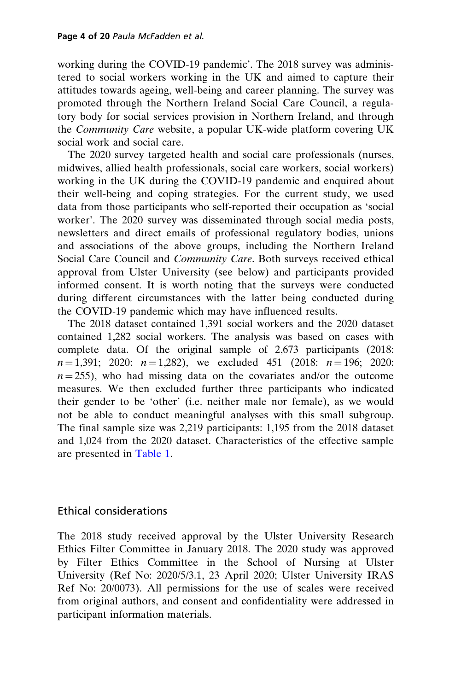working during the COVID-19 pandemic'. The 2018 survey was administered to social workers working in the UK and aimed to capture their attitudes towards ageing, well-being and career planning. The survey was promoted through the Northern Ireland Social Care Council, a regulatory body for social services provision in Northern Ireland, and through the Community Care website, a popular UK-wide platform covering UK social work and social care.

The 2020 survey targeted health and social care professionals (nurses, midwives, allied health professionals, social care workers, social workers) working in the UK during the COVID-19 pandemic and enquired about their well-being and coping strategies. For the current study, we used data from those participants who self-reported their occupation as 'social worker'. The 2020 survey was disseminated through social media posts, newsletters and direct emails of professional regulatory bodies, unions and associations of the above groups, including the Northern Ireland Social Care Council and Community Care. Both surveys received ethical approval from Ulster University (see below) and participants provided informed consent. It is worth noting that the surveys were conducted during different circumstances with the latter being conducted during the COVID-19 pandemic which may have influenced results.

The 2018 dataset contained 1,391 social workers and the 2020 dataset contained 1,282 social workers. The analysis was based on cases with complete data. Of the original sample of 2,673 participants (2018:  $n = 1,391$ ; 2020:  $n = 1,282$ ), we excluded 451 (2018:  $n = 196$ ; 2020:  $n = 255$ ), who had missing data on the covariates and/or the outcome measures. We then excluded further three participants who indicated their gender to be 'other' (i.e. neither male nor female), as we would not be able to conduct meaningful analyses with this small subgroup. The final sample size was 2,219 participants: 1,195 from the 2018 dataset and 1,024 from the 2020 dataset. Characteristics of the effective sample are presented in [Table 1](#page-4-0).

#### Ethical considerations

The 2018 study received approval by the Ulster University Research Ethics Filter Committee in January 2018. The 2020 study was approved by Filter Ethics Committee in the School of Nursing at Ulster University (Ref No: 2020/5/3.1, 23 April 2020; Ulster University IRAS Ref No: 20/0073). All permissions for the use of scales were received from original authors, and consent and confidentiality were addressed in participant information materials.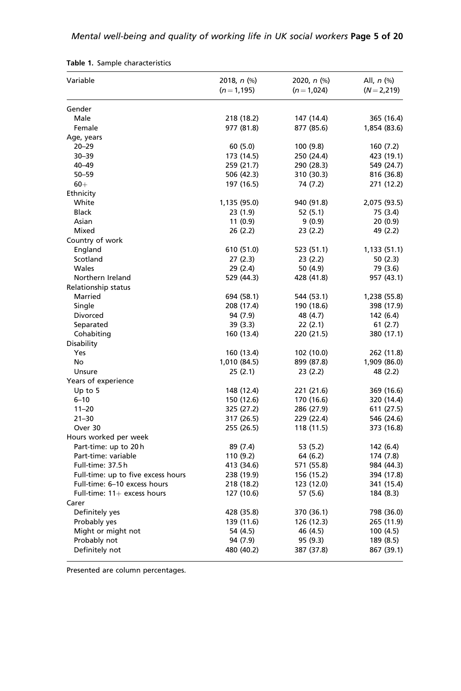| Variable                           | 2018, n (%)  | 2020, $n$ (%) | All, $n$ $(\%)$ |  |
|------------------------------------|--------------|---------------|-----------------|--|
|                                    | $(n=1, 195)$ | $(n=1,024)$   | $(N = 2, 219)$  |  |
| Gender                             |              |               |                 |  |
| Male                               | 218 (18.2)   | 147 (14.4)    | 365 (16.4)      |  |
| Female                             | 977 (81.8)   | 877 (85.6)    | 1,854 (83.6)    |  |
| Age, years                         |              |               |                 |  |
| $20 - 29$                          | 60(5.0)      | 100 (9.8)     | 160 (7.2)       |  |
| $30 - 39$                          | 173 (14.5)   | 250 (24.4)    | 423 (19.1)      |  |
| 40-49                              | 259 (21.7)   | 290 (28.3)    | 549 (24.7)      |  |
| $50 - 59$                          | 506 (42.3)   | 310 (30.3)    | 816 (36.8)      |  |
| $60+$                              | 197 (16.5)   | 74 (7.2)      | 271 (12.2)      |  |
| Ethnicity                          |              |               |                 |  |
| White                              | 1,135 (95.0) | 940 (91.8)    | 2,075 (93.5)    |  |
| <b>Black</b>                       | 23 (1.9)     | 52 (5.1)      | 75 (3.4)        |  |
| Asian                              | 11(0.9)      | 9(0.9)        | 20 (0.9)        |  |
| Mixed                              | 26 (2.2)     | 23 (2.2)      | 49 (2.2)        |  |
| Country of work                    |              |               |                 |  |
| England                            | 610 (51.0)   | 523 (51.1)    | 1,133 (51.1)    |  |
| Scotland                           | 27(2.3)      | 23(2.2)       | 50(2.3)         |  |
| Wales                              | 29 (2.4)     | 50 (4.9)      | 79 (3.6)        |  |
| Northern Ireland                   | 529 (44.3)   | 428 (41.8)    | 957 (43.1)      |  |
| Relationship status                |              |               |                 |  |
| Married                            | 694 (58.1)   | 544 (53.1)    | 1,238 (55.8)    |  |
| Single                             | 208 (17.4)   | 190 (18.6)    | 398 (17.9)      |  |
| Divorced                           | 94 (7.9)     | 48 (4.7)      | 142 (6.4)       |  |
| Separated                          | 39 (3.3)     | 22 (2.1)      | 61 (2.7)        |  |
| Cohabiting                         | 160 (13.4)   | 220 (21.5)    | 380 (17.1)      |  |
| Disability                         |              |               |                 |  |
| Yes                                | 160 (13.4)   | 102 (10.0)    | 262 (11.8)      |  |
| No                                 | 1,010 (84.5) | 899 (87.8)    | 1,909 (86.0)    |  |
| Unsure                             | 25(2.1)      | 23(2.2)       | 48 (2.2)        |  |
| Years of experience                |              |               |                 |  |
| Up to $5$                          | 148 (12.4)   | 221 (21.6)    | 369 (16.6)      |  |
| $6 - 10$                           | 150 (12.6)   | 170 (16.6)    | 320 (14.4)      |  |
| $11 - 20$                          | 325 (27.2)   | 286 (27.9)    | 611 (27.5)      |  |
| $21 - 30$                          | 317 (26.5)   | 229 (22.4)    | 546 (24.6)      |  |
| Over 30                            | 255 (26.5)   | 118 (11.5)    | 373 (16.8)      |  |
| Hours worked per week              |              |               |                 |  |
| Part-time: up to 20h               | 89 (7.4)     | 53 (5.2)      | 142 (6.4)       |  |
| Part-time: variable                | 110 (9.2)    | 64 (6.2)      | 174 (7.8)       |  |
| Full-time: 37.5h                   | 413 (34.6)   | 571 (55.8)    | 984 (44.3)      |  |
| Full-time: up to five excess hours | 238 (19.9)   | 156 (15.2)    | 394 (17.8)      |  |
| Full-time: 6-10 excess hours       | 218 (18.2)   | 123 (12.0)    | 341 (15.4)      |  |
| Full-time: $11+$ excess hours      | 127 (10.6)   | 57 (5.6)      | 184 (8.3)       |  |
| Carer                              |              |               |                 |  |
| Definitely yes                     | 428 (35.8)   | 370 (36.1)    | 798 (36.0)      |  |
| Probably yes                       | 139 (11.6)   | 126 (12.3)    | 265 (11.9)      |  |
| Might or might not                 | 54 (4.5)     | 46 (4.5)      | 100 (4.5)       |  |
| Probably not                       | 94 (7.9)     | 95 (9.3)      | 189 (8.5)       |  |
| Definitely not                     | 480 (40.2)   | 387 (37.8)    | 867 (39.1)      |  |

<span id="page-4-0"></span>

|  |  | Table 1. Sample characteristics |
|--|--|---------------------------------|
|--|--|---------------------------------|

Presented are column percentages.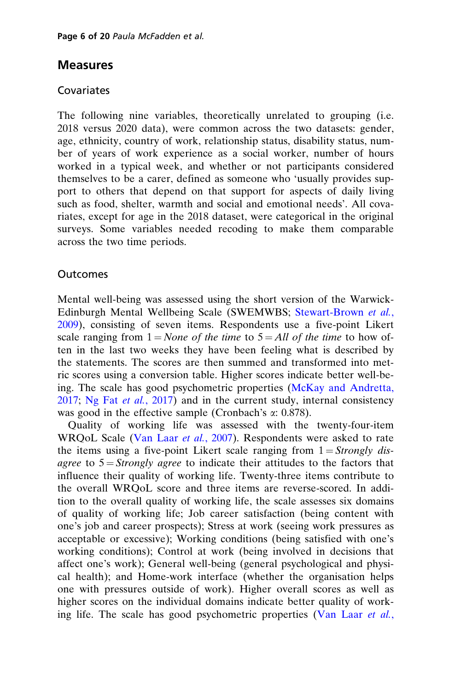### Measures

#### Covariates

The following nine variables, theoretically unrelated to grouping (i.e. 2018 versus 2020 data), were common across the two datasets: gender, age, ethnicity, country of work, relationship status, disability status, number of years of work experience as a social worker, number of hours worked in a typical week, and whether or not participants considered themselves to be a carer, defined as someone who 'usually provides support to others that depend on that support for aspects of daily living such as food, shelter, warmth and social and emotional needs'. All covariates, except for age in the 2018 dataset, were categorical in the original surveys. Some variables needed recoding to make them comparable across the two time periods.

#### **Outcomes**

Mental well-being was assessed using the short version of the Warwick-Edinburgh Mental Wellbeing Scale (SWEMWBS; [Stewart-Brown](#page-19-0) et al., [2009](#page-19-0)), consisting of seven items. Respondents use a five-point Likert scale ranging from  $1 = None$  of the time to  $5 = All$  of the time to how often in the last two weeks they have been feeling what is described by the statements. The scores are then summed and transformed into metric scores using a conversion table. Higher scores indicate better well-being. The scale has good psychometric properties ([McKay and Andretta,](#page-18-0) [2017](#page-18-0); [Ng Fat](#page-18-0) *et al.*, 2017) and in the current study, internal consistency was good in the effective sample (Cronbach's  $\alpha$ : 0.878).

Quality of working life was assessed with the twenty-four-item WRQoL Scale [\(Van Laar](#page-19-0) et al., 2007). Respondents were asked to rate the items using a five-point Likert scale ranging from  $1 =$  Strongly disagree to  $5 =$  Strongly agree to indicate their attitudes to the factors that influence their quality of working life. Twenty-three items contribute to the overall WRQoL score and three items are reverse-scored. In addition to the overall quality of working life, the scale assesses six domains of quality of working life; Job career satisfaction (being content with one's job and career prospects); Stress at work (seeing work pressures as acceptable or excessive); Working conditions (being satisfied with one's working conditions); Control at work (being involved in decisions that affect one's work); General well-being (general psychological and physical health); and Home-work interface (whether the organisation helps one with pressures outside of work). Higher overall scores as well as higher scores on the individual domains indicate better quality of work-ing life. The scale has good psychometric properties [\(Van Laar](#page-19-0) et al.,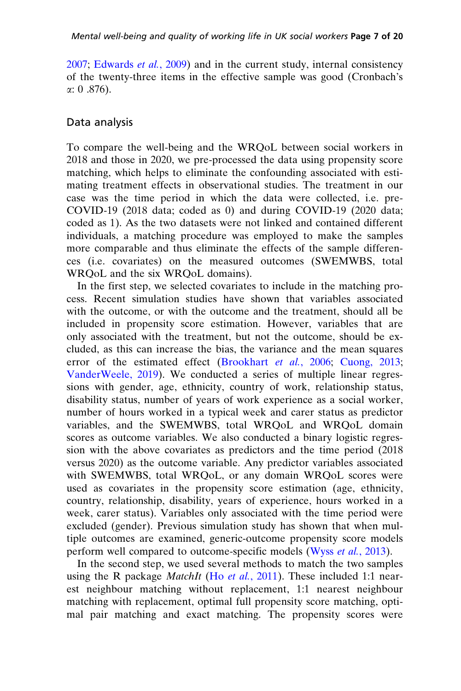[2007](#page-19-0); [Edwards](#page-16-0) et al., 2009) and in the current study, internal consistency of the twenty-three items in the effective sample was good (Cronbach's  $\alpha$ : 0.876).

#### Data analysis

To compare the well-being and the WRQoL between social workers in 2018 and those in 2020, we pre-processed the data using propensity score matching, which helps to eliminate the confounding associated with estimating treatment effects in observational studies. The treatment in our case was the time period in which the data were collected, i.e. pre-COVID-19 (2018 data; coded as 0) and during COVID-19 (2020 data; coded as 1). As the two datasets were not linked and contained different individuals, a matching procedure was employed to make the samples more comparable and thus eliminate the effects of the sample differences (i.e. covariates) on the measured outcomes (SWEMWBS, total WRQoL and the six WRQoL domains).

In the first step, we selected covariates to include in the matching process. Recent simulation studies have shown that variables associated with the outcome, or with the outcome and the treatment, should all be included in propensity score estimation. However, variables that are only associated with the treatment, but not the outcome, should be excluded, as this can increase the bias, the variance and the mean squares error of the estimated effect [\(Brookhart](#page-16-0) et al., 2006; [Cuong, 2013](#page-16-0); [VanderWeele, 2019\)](#page-19-0). We conducted a series of multiple linear regressions with gender, age, ethnicity, country of work, relationship status, disability status, number of years of work experience as a social worker, number of hours worked in a typical week and carer status as predictor variables, and the SWEMWBS, total WRQoL and WRQoL domain scores as outcome variables. We also conducted a binary logistic regression with the above covariates as predictors and the time period (2018 versus 2020) as the outcome variable. Any predictor variables associated with SWEMWBS, total WRQoL, or any domain WRQoL scores were used as covariates in the propensity score estimation (age, ethnicity, country, relationship, disability, years of experience, hours worked in a week, carer status). Variables only associated with the time period were excluded (gender). Previous simulation study has shown that when multiple outcomes are examined, generic-outcome propensity score models perform well compared to outcome-specific models (Wyss et al.[, 2013\)](#page-19-0).

In the second step, we used several methods to match the two samples using the R package *MatchIt* (Ho *et al.*[, 2011\)](#page-17-0). These included 1:1 nearest neighbour matching without replacement, 1:1 nearest neighbour matching with replacement, optimal full propensity score matching, optimal pair matching and exact matching. The propensity scores were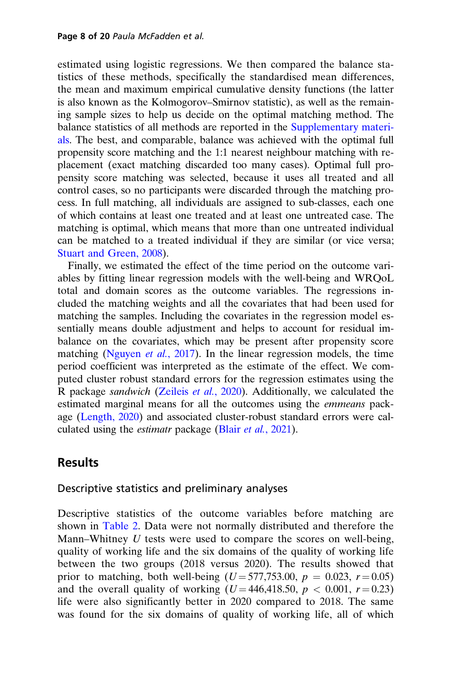estimated using logistic regressions. We then compared the balance statistics of these methods, specifically the standardised mean differences, the mean and maximum empirical cumulative density functions (the latter is also known as the Kolmogorov–Smirnov statistic), as well as the remaining sample sizes to help us decide on the optimal matching method. The balance statistics of all methods are reported in the [Supplementary materi](https://academic.oup.com/bjsw/article-lookup/doi/10.1093/bjsw/bcab198#supplementary-data)[als.](https://academic.oup.com/bjsw/article-lookup/doi/10.1093/bjsw/bcab198#supplementary-data) The best, and comparable, balance was achieved with the optimal full propensity score matching and the 1:1 nearest neighbour matching with replacement (exact matching discarded too many cases). Optimal full propensity score matching was selected, because it uses all treated and all control cases, so no participants were discarded through the matching process. In full matching, all individuals are assigned to sub-classes, each one of which contains at least one treated and at least one untreated case. The matching is optimal, which means that more than one untreated individual can be matched to a treated individual if they are similar (or vice versa; [Stuart and Green, 2008\)](#page-19-0).

Finally, we estimated the effect of the time period on the outcome variables by fitting linear regression models with the well-being and WRQoL total and domain scores as the outcome variables. The regressions included the matching weights and all the covariates that had been used for matching the samples. Including the covariates in the regression model essentially means double adjustment and helps to account for residual imbalance on the covariates, which may be present after propensity score matching [\(Nguyen](#page-18-0) *et al.*, 2017). In the linear regression models, the time period coefficient was interpreted as the estimate of the effect. We computed cluster robust standard errors for the regression estimates using the R package sandwich [\(Zeileis](#page-19-0) et al., 2020). Additionally, we calculated the estimated marginal means for all the outcomes using the emmeans package [\(Length, 2020](#page-17-0)) and associated cluster-robust standard errors were calculated using the *estimatr* package (Blair *et al.*[, 2021\)](#page-16-0).

### **Results**

#### Descriptive statistics and preliminary analyses

Descriptive statistics of the outcome variables before matching are shown in [Table 2](#page-8-0). Data were not normally distributed and therefore the Mann–Whitney  $U$  tests were used to compare the scores on well-being, quality of working life and the six domains of the quality of working life between the two groups (2018 versus 2020). The results showed that prior to matching, both well-being  $(U = 577,753.00, p = 0.023, r = 0.05)$ and the overall quality of working  $(U = 446, 418.50, p < 0.001, r = 0.23)$ life were also significantly better in 2020 compared to 2018. The same was found for the six domains of quality of working life, all of which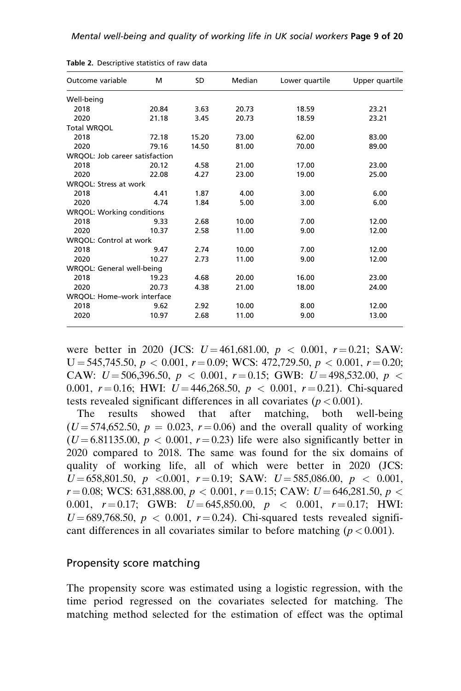| Outcome variable                 | м     | SD    | Median | Lower quartile | Upper quartile |  |
|----------------------------------|-------|-------|--------|----------------|----------------|--|
| Well-being                       |       |       |        |                |                |  |
| 2018                             | 20.84 | 3.63  | 20.73  | 18.59          | 23.21          |  |
| 2020                             | 21.18 | 3.45  | 20.73  | 18.59          | 23.21          |  |
| <b>Total WRQOL</b>               |       |       |        |                |                |  |
| 2018                             | 72.18 | 15.20 | 73.00  | 62.00          | 83.00          |  |
| 2020                             | 79.16 | 14.50 | 81.00  | 70.00          | 89.00          |  |
| WRQOL: Job career satisfaction   |       |       |        |                |                |  |
| 2018                             | 20.12 | 4.58  | 21.00  | 17.00          | 23.00          |  |
| 2020                             | 22.08 | 4.27  | 23.00  | 19.00          | 25.00          |  |
| WRQOL: Stress at work            |       |       |        |                |                |  |
| 2018                             | 4.41  | 1.87  | 4.00   | 3.00           | 6.00           |  |
| 2020                             | 4.74  | 1.84  | 5.00   | 3.00           | 6.00           |  |
| <b>WRQOL: Working conditions</b> |       |       |        |                |                |  |
| 2018                             | 9.33  | 2.68  | 10.00  | 7.00           | 12.00          |  |
| 2020                             | 10.37 | 2.58  | 11.00  | 9.00           | 12.00          |  |
| WRQOL: Control at work           |       |       |        |                |                |  |
| 2018                             | 9.47  | 2.74  | 10.00  | 7.00           | 12.00          |  |
| 2020                             | 10.27 | 2.73  | 11.00  | 9.00           | 12.00          |  |
| WRQOL: General well-being        |       |       |        |                |                |  |
| 2018                             | 19.23 | 4.68  | 20.00  | 16.00          | 23.00          |  |
| 2020                             | 20.73 | 4.38  | 21.00  | 18.00          | 24.00          |  |
| WRQOL: Home-work interface       |       |       |        |                |                |  |
| 2018                             | 9.62  | 2.92  | 10.00  | 8.00           | 12.00          |  |
| 2020                             | 10.97 | 2.68  | 11.00  | 9.00           | 13.00          |  |

<span id="page-8-0"></span>Table 2. Descriptive statistics of raw data

were better in 2020 (JCS:  $U = 461,681.00, p < 0.001, r = 0.21$ ; SAW:  $U = 545,745.50, p < 0.001, r = 0.09$ ; WCS: 472,729.50,  $p < 0.001, r = 0.20$ ; CAW:  $U = 506,396,50, p < 0.001, r = 0.15$ ; GWB:  $U = 498,532,00, p <$ 0.001,  $r = 0.16$ ; HWI:  $U = 446.268.50$ ,  $p < 0.001$ ,  $r = 0.21$ ). Chi-squared tests revealed significant differences in all covariates ( $p < 0.001$ ).

The results showed that after matching, both well-being  $(U = 574,652.50, p = 0.023, r = 0.06)$  and the overall quality of working  $(U = 6.81135.00, p < 0.001, r = 0.23)$  life were also significantly better in 2020 compared to 2018. The same was found for the six domains of quality of working life, all of which were better in 2020 (JCS:  $U = 658,801.50, p \le 0.001, r = 0.19;$  SAW:  $U = 585,086.00, p \le 0.001,$  $r = 0.08$ ; WCS: 631,888.00,  $p < 0.001$ ,  $r = 0.15$ ; CAW:  $U = 646,281.50$ ,  $p <$ 0.001,  $r = 0.17$ ; GWB:  $U = 645,850.00$ ,  $p < 0.001$ ,  $r = 0.17$ ; HWI:  $U = 689,768.50, p < 0.001, r = 0.24$ . Chi-squared tests revealed significant differences in all covariates similar to before matching ( $p < 0.001$ ).

#### Propensity score matching

The propensity score was estimated using a logistic regression, with the time period regressed on the covariates selected for matching. The matching method selected for the estimation of effect was the optimal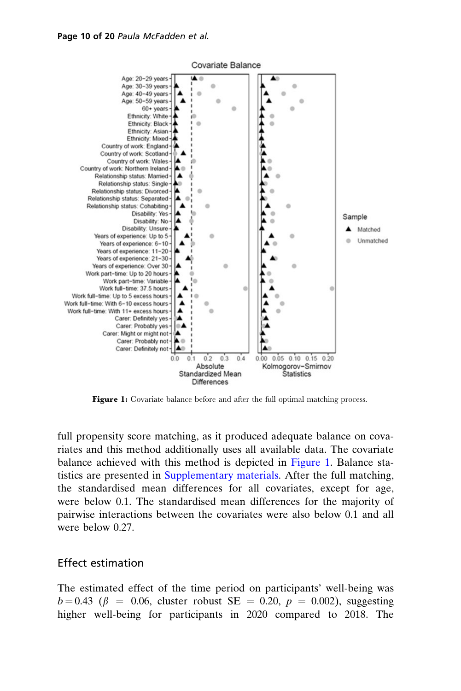

Figure 1: Covariate balance before and after the full optimal matching process.

full propensity score matching, as it produced adequate balance on covariates and this method additionally uses all available data. The covariate balance achieved with this method is depicted in Figure 1. Balance statistics are presented in [Supplementary materials](https://academic.oup.com/bjsw/article-lookup/doi/10.1093/bjsw/bcab198#supplementary-data). After the full matching, the standardised mean differences for all covariates, except for age, were below 0.1. The standardised mean differences for the majority of pairwise interactions between the covariates were also below 0.1 and all were below 0.27.

#### Effect estimation

The estimated effect of the time period on participants' well-being was  $b = 0.43$  ( $\beta = 0.06$ , cluster robust SE = 0.20,  $p = 0.002$ ), suggesting higher well-being for participants in 2020 compared to 2018. The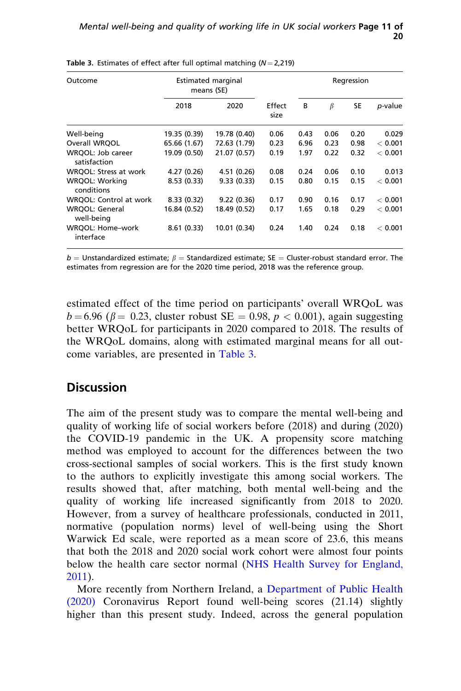| Outcome                             | <b>Estimated marginal</b><br>means (SE) |              |                |      | Regression |      |         |  |
|-------------------------------------|-----------------------------------------|--------------|----------------|------|------------|------|---------|--|
|                                     | 2018                                    | 2020         | Effect<br>size | B    | $\beta$    | SE   | p-value |  |
| Well-being                          | 19.35 (0.39)                            | 19.78 (0.40) | 0.06           | 0.43 | 0.06       | 0.20 | 0.029   |  |
| Overall WROOL                       | 65.66 (1.67)                            | 72.63 (1.79) | 0.23           | 6.96 | 0.23       | 0.98 | < 0.001 |  |
| WRQOL: Job career<br>satisfaction   | 19.09 (0.50)                            | 21.07 (0.57) | 0.19           | 1.97 | 0.22       | 0.32 | < 0.001 |  |
| WRQOL: Stress at work               | 4.27 (0.26)                             | 4.51 (0.26)  | 0.08           | 0.24 | 0.06       | 0.10 | 0.013   |  |
| WRQOL: Working<br>conditions        | 8.53(0.33)                              | 9.33(0.33)   | 0.15           | 0.80 | 0.15       | 0.15 | < 0.001 |  |
| WRQOL: Control at work              | 8.33(0.32)                              | 9.22(0.36)   | 0.17           | 0.90 | 0.16       | 0.17 | < 0.001 |  |
| <b>WRQOL: General</b><br>well-being | 16.84 (0.52)                            | 18.49 (0.52) | 0.17           | 1.65 | 0.18       | 0.29 | < 0.001 |  |
| WRQOL: Home-work<br>interface       | 8.61(0.33)                              | 10.01 (0.34) | 0.24           | 1.40 | 0.24       | 0.18 | < 0.001 |  |

Table 3. Estimates of effect after full optimal matching  $(N = 2,219)$ 

 $b =$  Unstandardized estimate;  $\beta =$  Standardized estimate; SE = Cluster-robust standard error. The estimates from regression are for the 2020 time period, 2018 was the reference group.

estimated effect of the time period on participants' overall WRQoL was  $b = 6.96$  ( $\beta = 0.23$ , cluster robust SE = 0.98,  $p < 0.001$ ), again suggesting better WRQoL for participants in 2020 compared to 2018. The results of the WRQoL domains, along with estimated marginal means for all outcome variables, are presented in Table 3.

### **Discussion**

The aim of the present study was to compare the mental well-being and quality of working life of social workers before (2018) and during (2020) the COVID-19 pandemic in the UK. A propensity score matching method was employed to account for the differences between the two cross-sectional samples of social workers. This is the first study known to the authors to explicitly investigate this among social workers. The results showed that, after matching, both mental well-being and the quality of working life increased significantly from 2018 to 2020. However, from a survey of healthcare professionals, conducted in 2011, normative (population norms) level of well-being using the Short Warwick Ed scale, were reported as a mean score of 23.6, this means that both the 2018 and 2020 social work cohort were almost four points below the health care sector normal [\(NHS Health Survey for England,](#page-18-0) [2011](#page-18-0)).

More recently from Northern Ireland, a [Department of Public Health](#page-16-0) [\(2020\)](#page-16-0) Coronavirus Report found well-being scores (21.14) slightly higher than this present study. Indeed, across the general population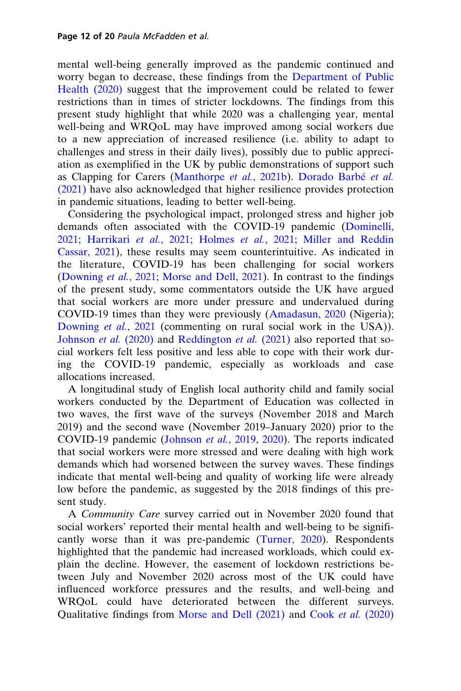mental well-being generally improved as the pandemic continued and worry began to decrease, these findings from the [Department of Public](#page-16-0) [Health \(2020\)](#page-16-0) suggest that the improvement could be related to fewer restrictions than in times of stricter lockdowns. The findings from this present study highlight that while 2020 was a challenging year, mental well-being and WRQoL may have improved among social workers due to a new appreciation of increased resilience (i.e. ability to adapt to challenges and stress in their daily lives), possibly due to public appreciation as exemplified in the UK by public demonstrations of support such as Clapping for Carers [\(Manthorpe](#page-17-0) et al., 2021b). Dorado Barbé et al. [\(2021\)](#page-16-0) have also acknowledged that higher resilience provides protection in pandemic situations, leading to better well-being.

Considering the psychological impact, prolonged stress and higher job demands often associated with the COVID-19 pandemic ([Dominelli,](#page-16-0) [2021](#page-16-0); [Harrikari](#page-17-0) et al., 2021; [Holmes](#page-17-0) et al., 2021; [Miller and Reddin](#page-18-0) [Cassar, 2021](#page-18-0)), these results may seem counterintuitive. As indicated in the literature, COVID-19 has been challenging for social workers [\(Downing](#page-16-0) et al., 2021; [Morse and Dell, 2021](#page-18-0)). In contrast to the findings of the present study, some commentators outside the UK have argued that social workers are more under pressure and undervalued during COVID-19 times than they were previously [\(Amadasun, 2020](#page-15-0) (Nigeria); [Downing](#page-16-0) *et al.*, 2021 (commenting on rural social work in the USA)). [Johnson](#page-17-0) et al. (2020) and [Reddington](#page-18-0) et al. (2021) also reported that social workers felt less positive and less able to cope with their work during the COVID-19 pandemic, especially as workloads and case allocations increased.

A longitudinal study of English local authority child and family social workers conducted by the Department of Education was collected in two waves, the first wave of the surveys (November 2018 and March 2019) and the second wave (November 2019–January 2020) prior to the COVID-19 pandemic ([Johnson](#page-17-0) et al., 2019, [2020](#page-17-0)). The reports indicated that social workers were more stressed and were dealing with high work demands which had worsened between the survey waves. These findings indicate that mental well-being and quality of working life were already low before the pandemic, as suggested by the 2018 findings of this present study.

A Community Care survey carried out in November 2020 found that social workers' reported their mental health and well-being to be significantly worse than it was pre-pandemic ([Turner, 2020](#page-19-0)). Respondents highlighted that the pandemic had increased workloads, which could explain the decline. However, the easement of lockdown restrictions between July and November 2020 across most of the UK could have influenced workforce pressures and the results, and well-being and WRQoL could have deteriorated between the different surveys. Qualitative findings from [Morse and Dell \(2021\)](#page-18-0) and Cook et al. [\(2020\)](#page-16-0)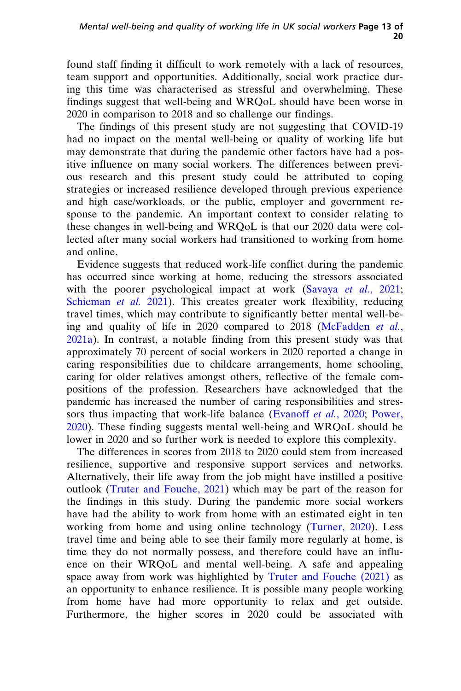found staff finding it difficult to work remotely with a lack of resources, team support and opportunities. Additionally, social work practice during this time was characterised as stressful and overwhelming. These findings suggest that well-being and WRQoL should have been worse in 2020 in comparison to 2018 and so challenge our findings.

The findings of this present study are not suggesting that COVID-19 had no impact on the mental well-being or quality of working life but may demonstrate that during the pandemic other factors have had a positive influence on many social workers. The differences between previous research and this present study could be attributed to coping strategies or increased resilience developed through previous experience and high case/workloads, or the public, employer and government response to the pandemic. An important context to consider relating to these changes in well-being and WRQoL is that our 2020 data were collected after many social workers had transitioned to working from home and online.

Evidence suggests that reduced work-life conflict during the pandemic has occurred since working at home, reducing the stressors associated with the poorer psychological impact at work [\(Savaya](#page-19-0) et al., 2021; [Schieman](#page-19-0) et al. 2021). This creates greater work flexibility, reducing travel times, which may contribute to significantly better mental well-be-ing and quality of life in 2020 compared to 2018 ([McFadden](#page-17-0) et al., [2021a\)](#page-17-0). In contrast, a notable finding from this present study was that approximately 70 percent of social workers in 2020 reported a change in caring responsibilities due to childcare arrangements, home schooling, caring for older relatives amongst others, reflective of the female compositions of the profession. Researchers have acknowledged that the pandemic has increased the number of caring responsibilities and stres-sors thus impacting that work-life balance ([Evanoff](#page-16-0) et al., 2020; [Power,](#page-18-0) [2020\)](#page-18-0). These finding suggests mental well-being and WRQoL should be lower in 2020 and so further work is needed to explore this complexity.

The differences in scores from 2018 to 2020 could stem from increased resilience, supportive and responsive support services and networks. Alternatively, their life away from the job might have instilled a positive outlook ([Truter and Fouche, 2021](#page-19-0)) which may be part of the reason for the findings in this study. During the pandemic more social workers have had the ability to work from home with an estimated eight in ten working from home and using online technology [\(Turner, 2020](#page-19-0)). Less travel time and being able to see their family more regularly at home, is time they do not normally possess, and therefore could have an influence on their WRQoL and mental well-being. A safe and appealing space away from work was highlighted by [Truter and Fouche \(2021\)](#page-19-0) as an opportunity to enhance resilience. It is possible many people working from home have had more opportunity to relax and get outside. Furthermore, the higher scores in 2020 could be associated with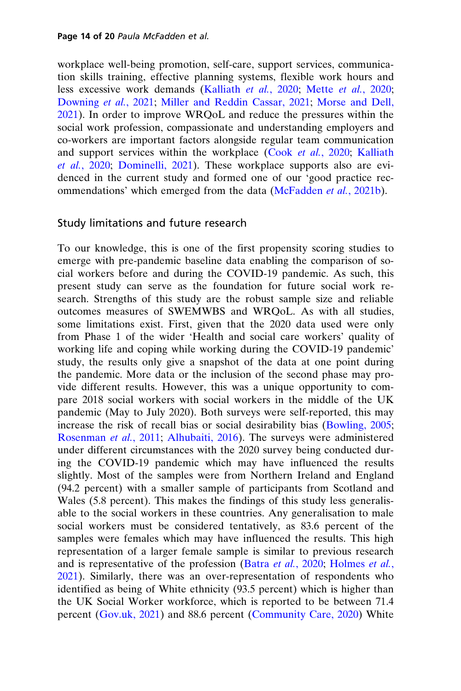workplace well-being promotion, self-care, support services, communication skills training, effective planning systems, flexible work hours and less excessive work demands ([Kalliath](#page-17-0) et al., 2020; Mette et al.[, 2020;](#page-18-0) [Downing](#page-16-0) et al., 2021; [Miller and Reddin Cassar, 2021;](#page-18-0) [Morse and Dell,](#page-18-0) [2021](#page-18-0)). In order to improve WRQoL and reduce the pressures within the social work profession, compassionate and understanding employers and co-workers are important factors alongside regular team communication and support services within the workplace (Cook et al.[, 2020;](#page-16-0) [Kalliath](#page-17-0) et al.[, 2020;](#page-17-0) [Dominelli, 2021](#page-16-0)). These workplace supports also are evidenced in the current study and formed one of our 'good practice rec-ommendations' which emerged from the data [\(McFadden](#page-18-0) et al., 2021b).

#### Study limitations and future research

To our knowledge, this is one of the first propensity scoring studies to emerge with pre-pandemic baseline data enabling the comparison of social workers before and during the COVID-19 pandemic. As such, this present study can serve as the foundation for future social work research. Strengths of this study are the robust sample size and reliable outcomes measures of SWEMWBS and WRQoL. As with all studies, some limitations exist. First, given that the 2020 data used were only from Phase 1 of the wider 'Health and social care workers' quality of working life and coping while working during the COVID-19 pandemic' study, the results only give a snapshot of the data at one point during the pandemic. More data or the inclusion of the second phase may provide different results. However, this was a unique opportunity to compare 2018 social workers with social workers in the middle of the UK pandemic (May to July 2020). Both surveys were self-reported, this may increase the risk of recall bias or social desirability bias [\(Bowling, 2005;](#page-16-0) [Rosenman](#page-19-0) et al., 2011; [Alhubaiti, 2016\)](#page-15-0). The surveys were administered under different circumstances with the 2020 survey being conducted during the COVID-19 pandemic which may have influenced the results slightly. Most of the samples were from Northern Ireland and England (94.2 percent) with a smaller sample of participants from Scotland and Wales (5.8 percent). This makes the findings of this study less generalisable to the social workers in these countries. Any generalisation to male social workers must be considered tentatively, as 83.6 percent of the samples were females which may have influenced the results. This high representation of a larger female sample is similar to previous research and is representative of the profession (Batra et al.[, 2020](#page-16-0); [Holmes](#page-17-0) et al., [2021](#page-17-0)). Similarly, there was an over-representation of respondents who identified as being of White ethnicity (93.5 percent) which is higher than the UK Social Worker workforce, which is reported to be between 71.4 percent [\(Gov.uk, 2021\)](#page-17-0) and 88.6 percent ([Community Care, 2020](#page-16-0)) White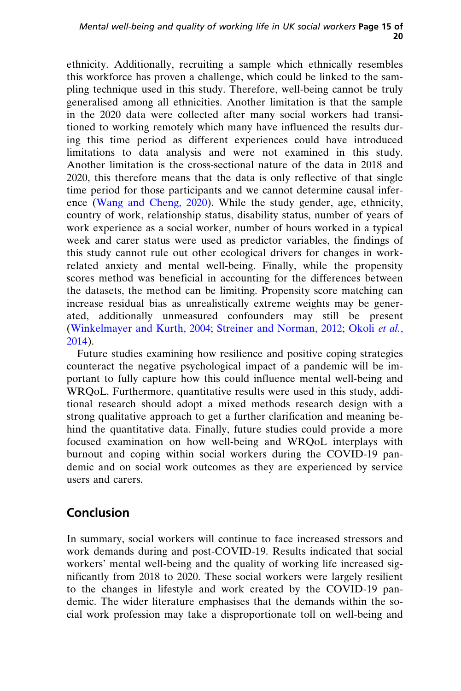ethnicity. Additionally, recruiting a sample which ethnically resembles this workforce has proven a challenge, which could be linked to the sampling technique used in this study. Therefore, well-being cannot be truly generalised among all ethnicities. Another limitation is that the sample in the 2020 data were collected after many social workers had transitioned to working remotely which many have influenced the results during this time period as different experiences could have introduced limitations to data analysis and were not examined in this study. Another limitation is the cross-sectional nature of the data in 2018 and 2020, this therefore means that the data is only reflective of that single time period for those participants and we cannot determine causal inference ([Wang and Cheng, 2020\)](#page-19-0). While the study gender, age, ethnicity, country of work, relationship status, disability status, number of years of work experience as a social worker, number of hours worked in a typical week and carer status were used as predictor variables, the findings of this study cannot rule out other ecological drivers for changes in workrelated anxiety and mental well-being. Finally, while the propensity scores method was beneficial in accounting for the differences between the datasets, the method can be limiting. Propensity score matching can increase residual bias as unrealistically extreme weights may be generated, additionally unmeasured confounders may still be present ([Winkelmayer and Kurth, 2004](#page-19-0); [Streiner and Norman, 2012;](#page-19-0) [Okoli](#page-18-0) et al., [2014](#page-18-0)).

Future studies examining how resilience and positive coping strategies counteract the negative psychological impact of a pandemic will be important to fully capture how this could influence mental well-being and WRQoL. Furthermore, quantitative results were used in this study, additional research should adopt a mixed methods research design with a strong qualitative approach to get a further clarification and meaning behind the quantitative data. Finally, future studies could provide a more focused examination on how well-being and WRQoL interplays with burnout and coping within social workers during the COVID-19 pandemic and on social work outcomes as they are experienced by service users and carers.

# Conclusion

In summary, social workers will continue to face increased stressors and work demands during and post-COVID-19. Results indicated that social workers' mental well-being and the quality of working life increased significantly from 2018 to 2020. These social workers were largely resilient to the changes in lifestyle and work created by the COVID-19 pandemic. The wider literature emphasises that the demands within the social work profession may take a disproportionate toll on well-being and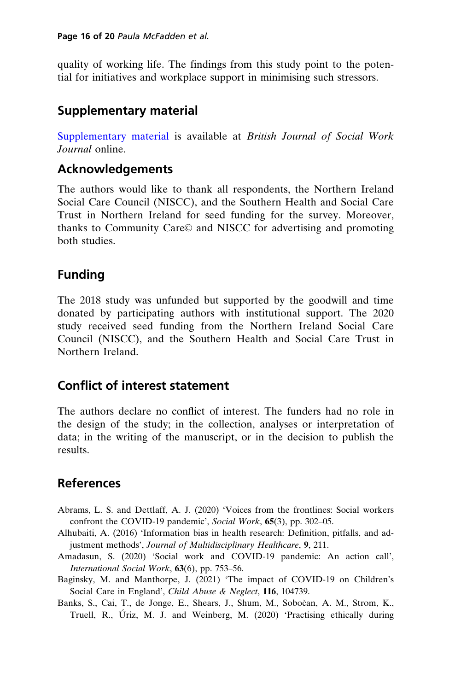<span id="page-15-0"></span>quality of working life. The findings from this study point to the potential for initiatives and workplace support in minimising such stressors.

# Supplementary material

[Supplementary material](https://academic.oup.com/bjsw/article-lookup/doi/10.1093/bjsw/bcab198#supplementary-data) is available at British Journal of Social Work Journal online.

## Acknowledgements

The authors would like to thank all respondents, the Northern Ireland Social Care Council (NISCC), and the Southern Health and Social Care Trust in Northern Ireland for seed funding for the survey. Moreover, thanks to Community Care© and NISCC for advertising and promoting both studies.

# Funding

The 2018 study was unfunded but supported by the goodwill and time donated by participating authors with institutional support. The 2020 study received seed funding from the Northern Ireland Social Care Council (NISCC), and the Southern Health and Social Care Trust in Northern Ireland.

# Conflict of interest statement

The authors declare no conflict of interest. The funders had no role in the design of the study; in the collection, analyses or interpretation of data; in the writing of the manuscript, or in the decision to publish the results.

# References

- Abrams, L. S. and Dettlaff, A. J. (2020) 'Voices from the frontlines: Social workers confront the COVID-19 pandemic', Social Work, 65(3), pp. 302–05.
- Alhubaiti, A. (2016) 'Information bias in health research: Definition, pitfalls, and adjustment methods', Journal of Multidisciplinary Healthcare, 9, 211.
- Amadasun, S. (2020) 'Social work and COVID-19 pandemic: An action call', International Social Work, 63(6), pp. 753–56.
- Baginsky, M. and Manthorpe, J. (2021) 'The impact of COVID-19 on Children's Social Care in England', Child Abuse & Neglect, 116, 104739.
- Banks, S., Cai, T., de Jonge, E., Shears, J., Shum, M., Sobočan, A. M., Strom, K., Truell, R., Uriz, M. J. and Weinberg, M. (2020) 'Practising ethically during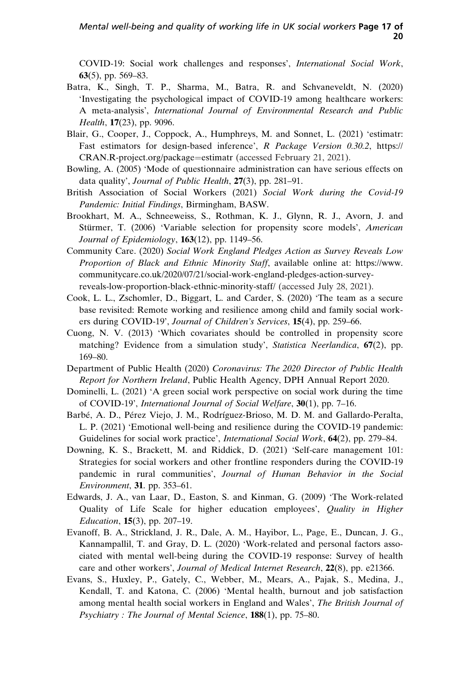<span id="page-16-0"></span>COVID-19: Social work challenges and responses', International Social Work, 63(5), pp. 569–83.

- Batra, K., Singh, T. P., Sharma, M., Batra, R. and Schvaneveldt, N. (2020) 'Investigating the psychological impact of COVID-19 among healthcare workers: A meta-analysis', International Journal of Environmental Research and Public Health, **17**(23), pp. 9096.
- Blair, G., Cooper, J., Coppock, A., Humphreys, M. and Sonnet, L. (2021) 'estimatr: Fast estimators for design-based inference', R Package Version 0.30.2, [https://](https://CRAN.R-project.org/package=estimatr) [CRAN.R-project.org/package](https://CRAN.R-project.org/package=estimatr)=[estimatr](https://CRAN.R-project.org/package=estimatr) (accessed February 21, 2021).
- Bowling, A. (2005) 'Mode of questionnaire administration can have serious effects on data quality', Journal of Public Health, 27(3), pp. 281–91.
- British Association of Social Workers (2021) Social Work during the Covid-19 Pandemic: Initial Findings, Birmingham, BASW.
- Brookhart, M. A., Schneeweiss, S., Rothman, K. J., Glynn, R. J., Avorn, J. and Stürmer, T. (2006) 'Variable selection for propensity score models', American Journal of Epidemiology, 163(12), pp. 1149-56.
- Community Care. (2020) Social Work England Pledges Action as Survey Reveals Low Proportion of Black and Ethnic Minority Staff, available online at: [https://www.](https://www.communitycare.co.uk/2020/07/21/social-work-england-pledges-action-survey-reveals-low-proportion-black-ethnic-minority-staff/) [communitycare.co.uk/2020/07/21/social-work-england-pledges-action-survey](https://www.communitycare.co.uk/2020/07/21/social-work-england-pledges-action-survey-reveals-low-proportion-black-ethnic-minority-staff/)[reveals-low-proportion-black-ethnic-minority-staff/](https://www.communitycare.co.uk/2020/07/21/social-work-england-pledges-action-survey-reveals-low-proportion-black-ethnic-minority-staff/) (accessed July 28, 2021).
- Cook, L. L., Zschomler, D., Biggart, L. and Carder, S. (2020) 'The team as a secure base revisited: Remote working and resilience among child and family social workers during COVID-19', Journal of Children's Services, 15(4), pp. 259–66.
- Cuong, N. V. (2013) 'Which covariates should be controlled in propensity score matching? Evidence from a simulation study', Statistica Neerlandica, 67(2), pp. 169–80.
- Department of Public Health (2020) Coronavirus: The 2020 Director of Public Health Report for Northern Ireland, Public Health Agency, DPH Annual Report 2020.
- Dominelli, L. (2021) 'A green social work perspective on social work during the time of COVID-19', International Journal of Social Welfare, 30(1), pp. 7–16.
- Barbé, A. D., Pérez Viejo, J. M., Rodríguez-Brioso, M. D. M. and Gallardo-Peralta, L. P. (2021) 'Emotional well-being and resilience during the COVID-19 pandemic: Guidelines for social work practice', *International Social Work*, 64(2), pp. 279–84.
- Downing, K. S., Brackett, M. and Riddick, D. (2021) 'Self-care management 101: Strategies for social workers and other frontline responders during the COVID-19 pandemic in rural communities', Journal of Human Behavior in the Social Environment, 31. pp. 353–61.
- Edwards, J. A., van Laar, D., Easton, S. and Kinman, G. (2009) 'The Work-related Quality of Life Scale for higher education employees', *Quality in Higher* Education, 15(3), pp. 207–19.
- Evanoff, B. A., Strickland, J. R., Dale, A. M., Hayibor, L., Page, E., Duncan, J. G., Kannampallil, T. and Gray, D. L. (2020) 'Work-related and personal factors associated with mental well-being during the COVID-19 response: Survey of health care and other workers', Journal of Medical Internet Research, 22(8), pp. e21366.
- Evans, S., Huxley, P., Gately, C., Webber, M., Mears, A., Pajak, S., Medina, J., Kendall, T. and Katona, C. (2006) 'Mental health, burnout and job satisfaction among mental health social workers in England and Wales', The British Journal of Psychiatry : The Journal of Mental Science, 188(1), pp. 75-80.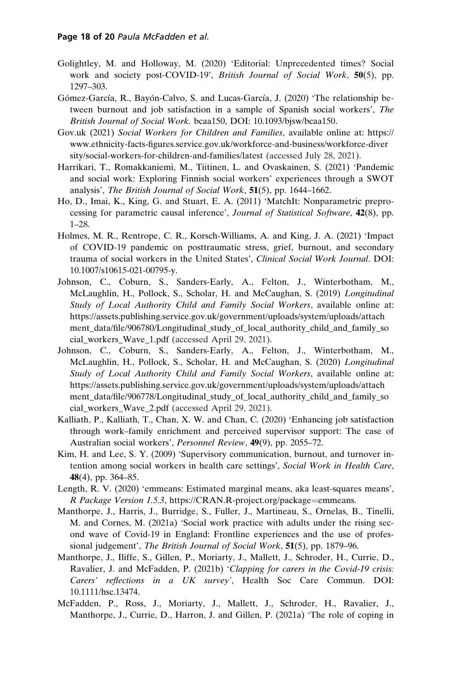- <span id="page-17-0"></span>Golightley, M. and Holloway, M. (2020) 'Editorial: Unprecedented times? Social work and society post-COVID-19', British Journal of Social Work, 50(5), pp. 1297–303.
- Gómez-García, R., Bayón-Calvo, S. and Lucas-García, J. (2020) 'The relationship between burnout and job satisfaction in a sample of Spanish social workers', The British Journal of Social Work. bcaa150, DOI: 10.1093/bjsw/bcaa150.
- Gov.uk (2021) Social Workers for Children and Families, available online at: [https://](https://www.ethnicity-facts-figures.service.gov.uk/workforce-and-business/workforce-diversity/social-workers-for-children-and-families/latest) [www.ethnicity-facts-figures.service.gov.uk/workforce-and-business/workforce-diver](https://www.ethnicity-facts-figures.service.gov.uk/workforce-and-business/workforce-diversity/social-workers-for-children-and-families/latest) [sity/social-workers-for-children-and-families/latest](https://www.ethnicity-facts-figures.service.gov.uk/workforce-and-business/workforce-diversity/social-workers-for-children-and-families/latest) (accessed July 28, 2021).
- Harrikari, T., Romakkaniemi, M., Tiitinen, L. and Ovaskainen, S. (2021) 'Pandemic and social work: Exploring Finnish social workers' experiences through a SWOT analysis', The British Journal of Social Work, 51(5), pp. 1644–1662.
- Ho, D., Imai, K., King, G. and Stuart, E. A. (2011) 'MatchIt: Nonparametric preprocessing for parametric causal inference', Journal of Statistical Software, 42(8), pp. 1–28.
- Holmes, M. R., Rentrope, C. R., Korsch-Williams, A. and King, J. A. (2021) 'Impact of COVID-19 pandemic on posttraumatic stress, grief, burnout, and secondary trauma of social workers in the United States', Clinical Social Work Journal. DOI: 10.1007/s10615-021-00795-y.
- Johnson, C., Coburn, S., Sanders-Early, A., Felton, J., Winterbotham, M., McLaughlin, H., Pollock, S., Scholar, H. and McCaughan, S. (2019) Longitudinal Study of Local Authority Child and Family Social Workers, available online at: [https://assets.publishing.service.gov.uk/government/uploads/system/uploads/attach](https://assets.publishing.service.gov.uk/government/uploads/system/uploads/attachment_data/file/906780/Longitudinal_study_of_local_authority_child_and_family_social_workers_Wave_1.pdf) [ment\\_data/file/906780/Longitudinal\\_study\\_of\\_local\\_authority\\_child\\_and\\_family\\_so](https://assets.publishing.service.gov.uk/government/uploads/system/uploads/attachment_data/file/906780/Longitudinal_study_of_local_authority_child_and_family_social_workers_Wave_1.pdf) [cial\\_workers\\_Wave\\_1.pdf](https://assets.publishing.service.gov.uk/government/uploads/system/uploads/attachment_data/file/906780/Longitudinal_study_of_local_authority_child_and_family_social_workers_Wave_1.pdf) (accessed April 29, 2021).
- Johnson, C., Coburn, S., Sanders-Early, A., Felton, J., Winterbotham, M., McLaughlin, H., Pollock, S., Scholar, H. and McCaughan, S. (2020) Longitudinal Study of Local Authority Child and Family Social Workers, available online at: [https://assets.publishing.service.gov.uk/government/uploads/system/uploads/attach](https://assets.publishing.service.gov.uk/government/uploads/system/uploads/attachment_data/file/906778/Longitudinal_study_of_local_authority_child_and_family_social_workers_Wave_2.pdf) [ment\\_data/file/906778/Longitudinal\\_study\\_of\\_local\\_authority\\_child\\_and\\_family\\_so](https://assets.publishing.service.gov.uk/government/uploads/system/uploads/attachment_data/file/906778/Longitudinal_study_of_local_authority_child_and_family_social_workers_Wave_2.pdf) [cial\\_workers\\_Wave\\_2.pdf](https://assets.publishing.service.gov.uk/government/uploads/system/uploads/attachment_data/file/906778/Longitudinal_study_of_local_authority_child_and_family_social_workers_Wave_2.pdf) (accessed April 29, 2021).
- Kalliath, P., Kalliath, T., Chan, X. W. and Chan, C. (2020) 'Enhancing job satisfaction through work–family enrichment and perceived supervisor support: The case of Australian social workers', Personnel Review, 49(9), pp. 2055–72.
- Kim, H. and Lee, S. Y. (2009) 'Supervisory communication, burnout, and turnover intention among social workers in health care settings', Social Work in Health Care, 48(4), pp. 364–85.
- Length, R. V. (2020) 'emmeans: Estimated marginal means, aka least-squares means', R Package Version 1.5.3, [https://CRAN.R-project.org/package](https://CRAN.R-project.org/package=emmeans)=[emmeans](https://CRAN.R-project.org/package=emmeans).
- Manthorpe, J., Harris, J., Burridge, S., Fuller, J., Martineau, S., Ornelas, B., Tinelli, M. and Cornes, M. (2021a) 'Social work practice with adults under the rising second wave of Covid-19 in England: Frontline experiences and the use of professional judgement', The British Journal of Social Work, 51(5), pp. 1879-96.
- Manthorpe, J., Iliffe, S., Gillen, P., Moriarty, J., Mallett, J., Schroder, H., Currie, D., Ravalier, J. and McFadden, P. (2021b) 'Clapping for carers in the Covid-19 crisis: Carers' reflections in a UK survey', Health Soc Care Commun. DOI: 10.1111/hsc.13474.
- McFadden, P., Ross, J., Moriarty, J., Mallett, J., Schroder, H., Ravalier, J., Manthorpe, J., Currie, D., Harron, J. and Gillen, P. (2021a) 'The role of coping in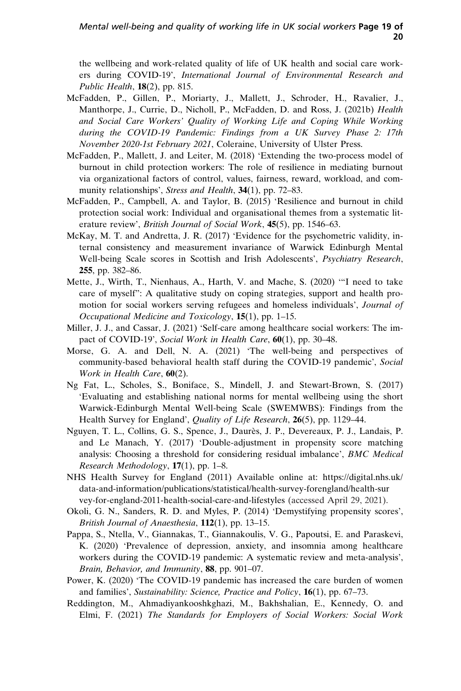<span id="page-18-0"></span>the wellbeing and work-related quality of life of UK health and social care workers during COVID-19', International Journal of Environmental Research and Public Health,  $18(2)$ , pp. 815.

- McFadden, P., Gillen, P., Moriarty, J., Mallett, J., Schroder, H., Ravalier, J., Manthorpe, J., Currie, D., Nicholl, P., McFadden, D. and Ross, J. (2021b) Health and Social Care Workers' Quality of Working Life and Coping While Working during the COVID-19 Pandemic: Findings from a UK Survey Phase 2: 17th November 2020-1st February 2021, Coleraine, University of Ulster Press.
- McFadden, P., Mallett, J. and Leiter, M. (2018) 'Extending the two-process model of burnout in child protection workers: The role of resilience in mediating burnout via organizational factors of control, values, fairness, reward, workload, and community relationships', Stress and Health, 34(1), pp. 72-83.
- McFadden, P., Campbell, A. and Taylor, B. (2015) 'Resilience and burnout in child protection social work: Individual and organisational themes from a systematic literature review', British Journal of Social Work, 45(5), pp. 1546-63.
- McKay, M. T. and Andretta, J. R. (2017) 'Evidence for the psychometric validity, internal consistency and measurement invariance of Warwick Edinburgh Mental Well-being Scale scores in Scottish and Irish Adolescents', Psychiatry Research, 255, pp. 382–86.
- Mette, J., Wirth, T., Nienhaus, A., Harth, V. and Mache, S. (2020) '"I need to take care of myself": A qualitative study on coping strategies, support and health promotion for social workers serving refugees and homeless individuals', Journal of Occupational Medicine and Toxicology, 15(1), pp. 1–15.
- Miller, J. J., and Cassar, J. (2021) 'Self-care among healthcare social workers: The impact of COVID-19', Social Work in Health Care, 60(1), pp. 30–48.
- Morse, G. A. and Dell, N. A. (2021) 'The well-being and perspectives of community-based behavioral health staff during the COVID-19 pandemic', Social Work in Health Care, 60(2).
- Ng Fat, L., Scholes, S., Boniface, S., Mindell, J. and Stewart-Brown, S. (2017) 'Evaluating and establishing national norms for mental wellbeing using the short Warwick-Edinburgh Mental Well-being Scale (SWEMWBS): Findings from the Health Survey for England', *Quality of Life Research*, 26(5), pp. 1129–44.
- Nguyen, T. L., Collins, G. S., Spence, J., Daurès, J. P., Devereaux, P. J., Landais, P. and Le Manach, Y. (2017) 'Double-adjustment in propensity score matching analysis: Choosing a threshold for considering residual imbalance', BMC Medical Research Methodology,  $17(1)$ , pp. 1-8.
- NHS Health Survey for England (2011) Available online at: [https://digital.nhs.uk/](https://digital.nhs.uk/data-and-information/publications/statistical/health-survey-forengland/health-survey-for-england-2011-health-social-care-and-lifestyles) [data-and-information/publications/statistical/health-survey-forengland/health-sur](https://digital.nhs.uk/data-and-information/publications/statistical/health-survey-forengland/health-survey-for-england-2011-health-social-care-and-lifestyles) [vey-for-england-2011-health-social-care-and-lifestyles](https://digital.nhs.uk/data-and-information/publications/statistical/health-survey-forengland/health-survey-for-england-2011-health-social-care-and-lifestyles) (accessed April 29, 2021).
- Okoli, G. N., Sanders, R. D. and Myles, P. (2014) 'Demystifying propensity scores', British Journal of Anaesthesia, 112(1), pp. 13-15.
- Pappa, S., Ntella, V., Giannakas, T., Giannakoulis, V. G., Papoutsi, E. and Paraskevi, K. (2020) 'Prevalence of depression, anxiety, and insomnia among healthcare workers during the COVID-19 pandemic: A systematic review and meta-analysis', Brain, Behavior, and Immunity, 88, pp. 901-07.
- Power, K. (2020) 'The COVID-19 pandemic has increased the care burden of women and families', Sustainability: Science, Practice and Policy, 16(1), pp. 67–73.
- Reddington, M., Ahmadiyankooshkghazi, M., Bakhshalian, E., Kennedy, O. and Elmi, F. (2021) The Standards for Employers of Social Workers: Social Work